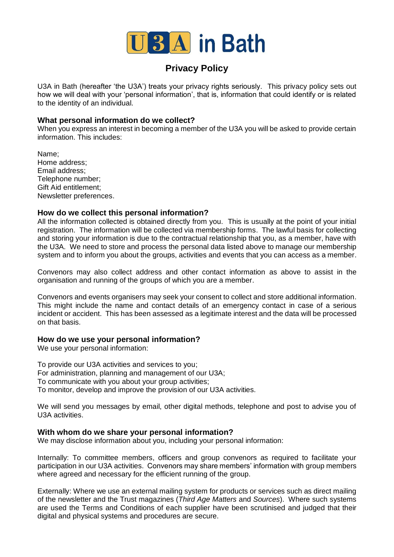

# **Privacy Policy**

U3A in Bath (hereafter 'the U3A') treats your privacy rights seriously. This privacy policy sets out how we will deal with your 'personal information', that is, information that could identify or is related to the identity of an individual.

## **What personal information do we collect?**

When you express an interest in becoming a member of the U3A you will be asked to provide certain information. This includes:

Name; Home address; Email address; Telephone number; Gift Aid entitlement; Newsletter preferences.

# **How do we collect this personal information?**

All the information collected is obtained directly from you. This is usually at the point of your initial registration. The information will be collected via membership forms. The lawful basis for collecting and storing your information is due to the contractual relationship that you, as a member, have with the U3A. We need to store and process the personal data listed above to manage our membership system and to inform you about the groups, activities and events that you can access as a member.

Convenors may also collect address and other contact information as above to assist in the organisation and running of the groups of which you are a member.

Convenors and events organisers may seek your consent to collect and store additional information. This might include the name and contact details of an emergency contact in case of a serious incident or accident. This has been assessed as a legitimate interest and the data will be processed on that basis.

## **How do we use your personal information?**

We use your personal information:

To provide our U3A activities and services to you; For administration, planning and management of our U3A; To communicate with you about your group activities; To monitor, develop and improve the provision of our U3A activities.

We will send you messages by email, other digital methods, telephone and post to advise you of U3A activities.

## **With whom do we share your personal information?**

We may disclose information about you, including your personal information:

Internally: To committee members, officers and group convenors as required to facilitate your participation in our U3A activities. Convenors may share members' information with group members where agreed and necessary for the efficient running of the group.

Externally: Where we use an external mailing system for products or services such as direct mailing of the newsletter and the Trust magazines (*Third Age Matters* and *Sources*). Where such systems are used the Terms and Conditions of each supplier have been scrutinised and judged that their digital and physical systems and procedures are secure.